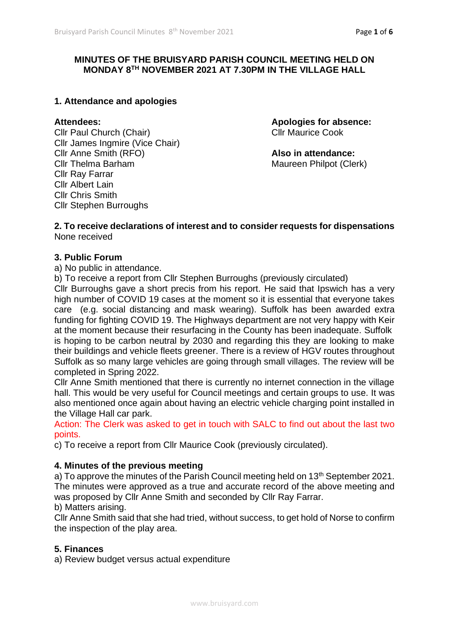# **MINUTES OF THE BRUISYARD PARISH COUNCIL MEETING HELD ON MONDAY 8TH NOVEMBER 2021 AT 7.30PM IN THE VILLAGE HALL**

# **1. Attendance and apologies**

**Cllr Paul Church (Chair)** Cllr Maurice Cook Cllr James Ingmire (Vice Chair) Cllr Anne Smith (RFO) **Also in attendance:** Cllr Thelma Barham Maureen Philpot (Clerk) Cllr Ray Farrar Cllr Albert Lain Cllr Chris Smith Cllr Stephen Burroughs

**Attendees: Apologies for absence:**

## **2. To receive declarations of interest and to consider requests for dispensations** None received

#### **3. Public Forum**

a) No public in attendance.

b) To receive a report from Cllr Stephen Burroughs (previously circulated)

Cllr Burroughs gave a short precis from his report. He said that Ipswich has a very high number of COVID 19 cases at the moment so it is essential that everyone takes care (e.g. social distancing and mask wearing). Suffolk has been awarded extra funding for fighting COVID 19. The Highways department are not very happy with Keir at the moment because their resurfacing in the County has been inadequate. Suffolk is hoping to be carbon neutral by 2030 and regarding this they are looking to make their buildings and vehicle fleets greener. There is a review of HGV routes throughout Suffolk as so many large vehicles are going through small villages. The review will be completed in Spring 2022.

Cllr Anne Smith mentioned that there is currently no internet connection in the village hall. This would be very useful for Council meetings and certain groups to use. It was also mentioned once again about having an electric vehicle charging point installed in the Village Hall car park.

Action: The Clerk was asked to get in touch with SALC to find out about the last two points.

c) To receive a report from Cllr Maurice Cook (previously circulated).

#### **4. Minutes of the previous meeting**

a) To approve the minutes of the Parish Council meeting held on 13<sup>th</sup> September 2021. The minutes were approved as a true and accurate record of the above meeting and was proposed by Cllr Anne Smith and seconded by Cllr Ray Farrar. b) Matters arising.

Cllr Anne Smith said that she had tried, without success, to get hold of Norse to confirm the inspection of the play area.

#### **5. Finances**

a) Review budget versus actual expenditure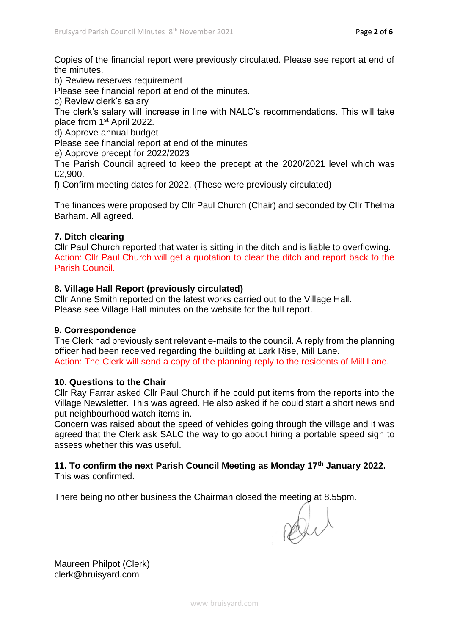Copies of the financial report were previously circulated. Please see report at end of the minutes.

b) Review reserves requirement

Please see financial report at end of the minutes.

c) Review clerk's salary

The clerk's salary will increase in line with NALC's recommendations. This will take place from 1st April 2022.

d) Approve annual budget

Please see financial report at end of the minutes

e) Approve precept for 2022/2023

The Parish Council agreed to keep the precept at the 2020/2021 level which was £2,900.

f) Confirm meeting dates for 2022. (These were previously circulated)

The finances were proposed by Cllr Paul Church (Chair) and seconded by Cllr Thelma Barham. All agreed.

# **7. Ditch clearing**

Cllr Paul Church reported that water is sitting in the ditch and is liable to overflowing. Action: Cllr Paul Church will get a quotation to clear the ditch and report back to the Parish Council.

# **8. Village Hall Report (previously circulated)**

Cllr Anne Smith reported on the latest works carried out to the Village Hall. Please see Village Hall minutes on the website for the full report.

#### **9. Correspondence**

The Clerk had previously sent relevant e-mails to the council. A reply from the planning officer had been received regarding the building at Lark Rise, Mill Lane. Action: The Clerk will send a copy of the planning reply to the residents of Mill Lane.

#### **10. Questions to the Chair**

Cllr Ray Farrar asked Cllr Paul Church if he could put items from the reports into the Village Newsletter. This was agreed. He also asked if he could start a short news and put neighbourhood watch items in.

Concern was raised about the speed of vehicles going through the village and it was agreed that the Clerk ask SALC the way to go about hiring a portable speed sign to assess whether this was useful.

**11. To confirm the next Parish Council Meeting as Monday 17th January 2022.** This was confirmed.

There being no other business the Chairman closed the meeting at 8.55pm.

di

Maureen Philpot (Clerk) clerk@bruisyard.com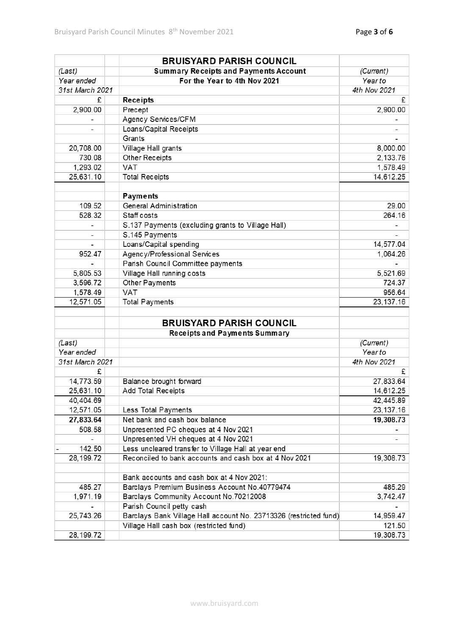|                              | <b>BRUISYARD PARISH COUNCIL</b>                                   |              |
|------------------------------|-------------------------------------------------------------------|--------------|
| (Last)                       | <b>Summary Receipts and Payments Account</b>                      | (Current)    |
| Year ended                   | For the Year to 4th Nov 2021                                      | Year to      |
| 31st March 2021              |                                                                   | 4th Nov 2021 |
| £                            | Receipts                                                          | £            |
| 2,900.00                     | Precept                                                           | 2,900.00     |
|                              | Agency Services/CFM                                               |              |
|                              | Loans/Capital Receipts                                            |              |
|                              | Grants                                                            |              |
| 20,708.00                    | Village Hall grants                                               | 8,000.00     |
| 730.08                       | Other Receipts                                                    | 2,133.76     |
| 1,293.02                     | <b>VAT</b>                                                        | 1,578.49     |
| 25,631.10                    | <b>Total Receipts</b>                                             | 14,612.25    |
|                              | Payments                                                          |              |
| 109.52                       | <b>General Administration</b>                                     | 29.00        |
| 528.32                       | Staff costs                                                       | 264.16       |
|                              |                                                                   |              |
|                              | S.137 Payments (excluding grants to Village Hall)                 |              |
|                              | S.145 Payments                                                    | 14,577.04    |
| $\qquad \qquad \blacksquare$ | Loans/Capital spending                                            |              |
| 952.47                       | Agency/Professional Services                                      | 1,064.26     |
|                              | Parish Council Committee payments                                 |              |
| 5,805.53                     | Village Hall running costs                                        | 5,521.69     |
| 3,596.72                     | Other Payments                                                    | 724.37       |
| 1,578.49                     | <b>VAT</b>                                                        | 956.64       |
| 12,571.05                    | <b>Total Payments</b>                                             | 23,137.16    |
|                              | <b>BRUISYARD PARISH COUNCIL</b>                                   |              |
|                              | <b>Receipts and Payments Summary</b>                              |              |
| (Last)                       |                                                                   | (Current)    |
| Year ended                   |                                                                   | Year to      |
| 31st March 2021              |                                                                   | 4th Nov 2021 |
| £                            |                                                                   | £            |
| 14,773.59                    | Balance brought forward                                           | 27,833.64    |
| 25,631.10                    | Add Total Receipts                                                | 14,612.25    |
| 40,404.69                    |                                                                   | 42,445.89    |
| 12,571.05                    | Less Total Payments                                               | 23,137.16    |
| 27,833.64                    | Net bank and cash box balance                                     | 19,308.73    |
| 508.58                       | Unpresented PC cheques at 4 Nov 2021                              |              |
|                              | Unpresented VH cheques at 4 Nov 2021                              |              |
| 142.50                       | Less uncleared transfer to Village Hall at year end               |              |
| 28, 199. 72                  | Reconciled to bank accounts and cash box at 4 Nov 2021            | 19,308.73    |
|                              | Bank accounts and cash box at 4 Nov 2021:                         |              |
| 485.27                       | Barclays Premium Business Account No.40779474                     | 485.29       |
| 1,971.19                     | Barclays Community Account No.70212008                            | 3,742.47     |
|                              | Parish Council petty cash                                         |              |
| 25,743.26                    | Barclays Bank Village Hall account No. 23713326 (restricted fund) | 14,959.47    |
|                              | Village Hall cash box (restricted fund)                           | 121.50       |
| 28, 199. 72                  |                                                                   | 19,308.73    |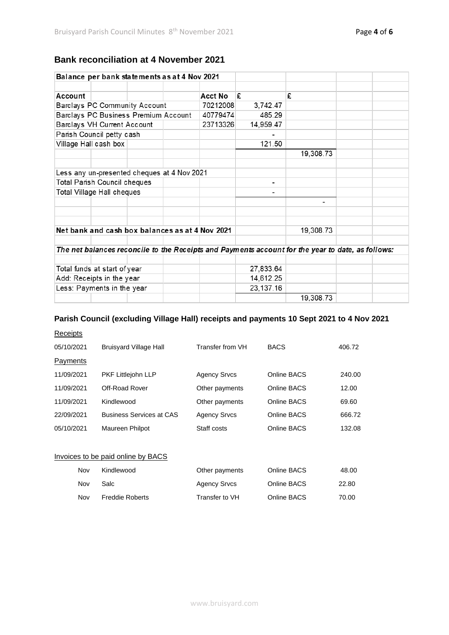# **Bank reconciliation at 4 November 2021**

|                                                 |                              | Balance per bank statements as at 4 Nov 2021 |  |           |           |                                                                                                   |  |
|-------------------------------------------------|------------------------------|----------------------------------------------|--|-----------|-----------|---------------------------------------------------------------------------------------------------|--|
|                                                 |                              |                                              |  |           |           |                                                                                                   |  |
| Account                                         |                              |                                              |  | Acct No   | £         | £                                                                                                 |  |
|                                                 |                              | <b>Barclays PC Community Account</b>         |  | 70212008  | 3,742.47  |                                                                                                   |  |
|                                                 |                              | Barclays PC Business Premium Account         |  | 40779474  | 485.29    |                                                                                                   |  |
|                                                 | Barclays VH Current Account  |                                              |  | 23713326  | 14,959.47 |                                                                                                   |  |
|                                                 | Parish Council petty cash    |                                              |  |           |           |                                                                                                   |  |
|                                                 | Village Hall cash box        |                                              |  |           | 121.50    |                                                                                                   |  |
|                                                 |                              |                                              |  |           |           | 19,308.73                                                                                         |  |
|                                                 |                              |                                              |  |           |           |                                                                                                   |  |
|                                                 |                              | Less any un-presented cheques at 4 Nov 2021  |  |           |           |                                                                                                   |  |
|                                                 | Total Parish Council cheques |                                              |  |           |           |                                                                                                   |  |
| Total Village Hall cheques                      |                              |                                              |  |           |           |                                                                                                   |  |
|                                                 |                              |                                              |  |           |           |                                                                                                   |  |
|                                                 |                              |                                              |  |           |           |                                                                                                   |  |
|                                                 |                              |                                              |  |           |           |                                                                                                   |  |
| Net bank and cash box balances as at 4 Nov 2021 |                              |                                              |  |           | 19,308.73 |                                                                                                   |  |
|                                                 |                              |                                              |  |           |           |                                                                                                   |  |
|                                                 |                              |                                              |  |           |           | The net balances reconcile to the Receipts and Payments account for the year to date, as follows: |  |
|                                                 |                              |                                              |  |           |           |                                                                                                   |  |
| Total funds at start of year                    |                              |                                              |  | 27,833.64 |           |                                                                                                   |  |
| Add: Receipts in the year                       |                              |                                              |  | 14,612.25 |           |                                                                                                   |  |
| Less: Payments in the year                      |                              |                                              |  | 23,137.16 |           |                                                                                                   |  |
|                                                 |                              |                                              |  |           |           | 19,308.73                                                                                         |  |

# **Parish Council (excluding Village Hall) receipts and payments 10 Sept 2021 to 4 Nov 2021**

| Receipts   |                                 |                     |             |        |
|------------|---------------------------------|---------------------|-------------|--------|
| 05/10/2021 | <b>Bruisvard Village Hall</b>   | Transfer from VH    | <b>BACS</b> | 406.72 |
| Payments   |                                 |                     |             |        |
| 11/09/2021 | <b>PKF Littlejohn LLP</b>       | <b>Agency Srvcs</b> | Online BACS | 240.00 |
| 11/09/2021 | Off-Road Rover                  | Other payments      | Online BACS | 12.00  |
| 11/09/2021 | Kindlewood                      | Other payments      | Online BACS | 69.60  |
| 22/09/2021 | <b>Business Services at CAS</b> | <b>Agency Srvcs</b> | Online BACS | 666.72 |
| 05/10/2021 | Maureen Philpot                 | Staff costs         | Online BACS | 132.08 |
|            |                                 |                     |             |        |

#### Invoices to be paid online by BACS

| <b>Nov</b> | Kindlewood             | Other payments | Online BACS | 48.00 |
|------------|------------------------|----------------|-------------|-------|
| <b>Nov</b> | Salc                   | Agency Srvcs   | Online BACS | 22.80 |
| Nov        | <b>Freddie Roberts</b> | Transfer to VH | Online BACS | 70.00 |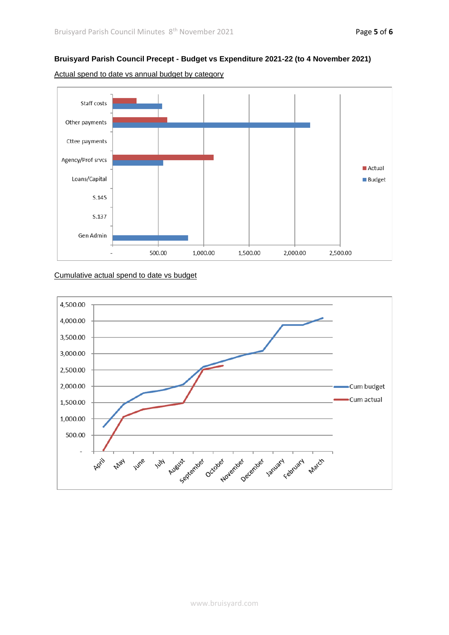#### **Bruisyard Parish Council Precept - Budget vs Expenditure 2021-22 (to 4 November 2021)**



Actual spend to date vs annual budget by category

#### Cumulative actual spend to date vs budget